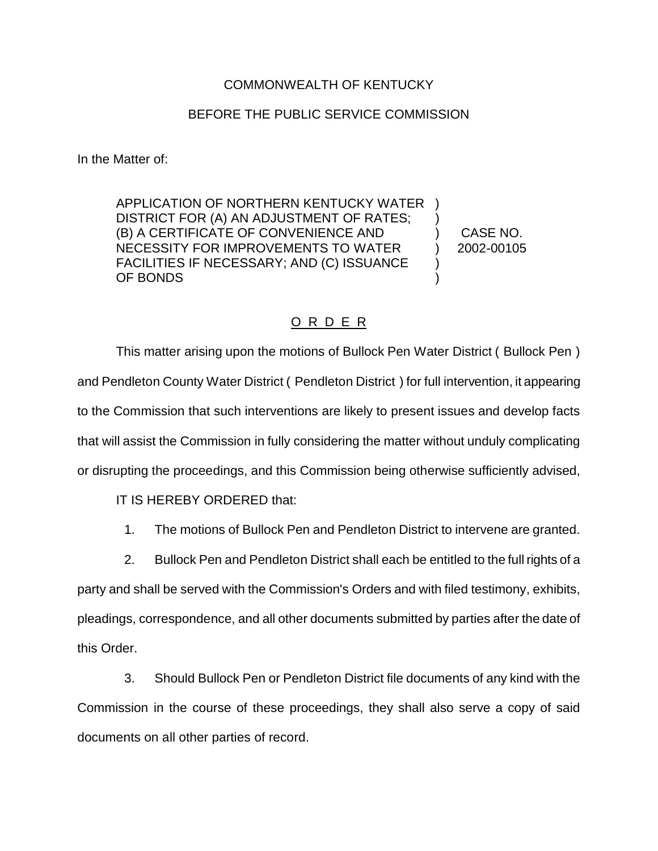## COMMONWEALTH OF KENTUCKY

## BEFORE THE PUBLIC SERVICE COMMISSION

In the Matter of:

APPLICATION OF NORTHERN KENTUCKY WATER ) DISTRICT FOR (A) AN ADJUSTMENT OF RATES; ) (B) A CERTIFICATE OF CONVENIENCE AND (B) CASE NO. NECESSITY FOR IMPROVEMENTS TO WATER  $\qquad$  ) 2002-00105 FACILITIES IF NECESSARY; AND (C) ISSUANCE ) OF BONDS (OF  $\sim$  )

## O R D E R

This matter arising upon the motions of Bullock Pen Water District ( Bullock Pen ) and Pendleton County Water District ( Pendleton District ) for full intervention, it appearing to the Commission that such interventions are likely to present issues and develop facts that will assist the Commission in fully considering the matter without unduly complicating or disrupting the proceedings, and this Commission being otherwise sufficiently advised,

IT IS HEREBY ORDERED that:

- 1. The motions of Bullock Pen and Pendleton District to intervene are granted.
- 2. Bullock Pen and Pendleton District shall each be entitled to the full rights of a

party and shall be served with the Commission's Orders and with filed testimony, exhibits, pleadings, correspondence, and all other documents submitted by parties after the date of this Order.

3. Should Bullock Pen or Pendleton District file documents of any kind with the Commission in the course of these proceedings, they shall also serve a copy of said documents on all other parties of record.